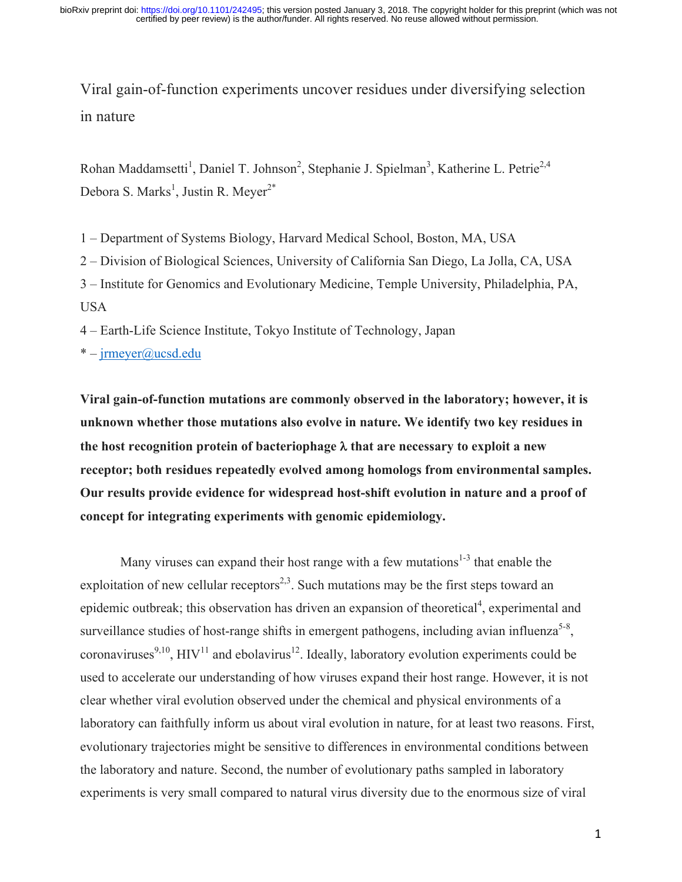Viral gain-of-function experiments uncover residues under diversifying selection in nature

Rohan Maddamsetti<sup>1</sup>, Daniel T. Johnson<sup>2</sup>, Stephanie J. Spielman<sup>3</sup>, Katherine L. Petrie<sup>2,4</sup> Debora S. Marks<sup>1</sup>, Justin R. Meyer<sup>2\*</sup>

1 – Department of Systems Biology, Harvard Medical School, Boston, MA, USA

2 – Division of Biological Sciences, University of California San Diego, La Jolla, CA, USA

3 – Institute for Genomics and Evolutionary Medicine, Temple University, Philadelphia, PA, USA

4 – Earth-Life Science Institute, Tokyo Institute of Technology, Japan

\* – jrmeyer@ucsd.edu

**Viral gain-of-function mutations are commonly observed in the laboratory; however, it is unknown whether those mutations also evolve in nature. We identify two key residues in the host recognition protein of bacteriophage**  $\lambda$  that are necessary to exploit a new **receptor; both residues repeatedly evolved among homologs from environmental samples. Our results provide evidence for widespread host-shift evolution in nature and a proof of concept for integrating experiments with genomic epidemiology.**

Many viruses can expand their host range with a few mutations<sup>1-3</sup> that enable the exploitation of new cellular receptors<sup>2,3</sup>. Such mutations may be the first steps toward an epidemic outbreak; this observation has driven an expansion of theoretical<sup>4</sup>, experimental and surveillance studies of host-range shifts in emergent pathogens, including avian influenza<sup>5-8</sup>, coronaviruses<sup>9,10</sup>, HIV<sup>11</sup> and ebolavirus<sup>12</sup>. Ideally, laboratory evolution experiments could be used to accelerate our understanding of how viruses expand their host range. However, it is not clear whether viral evolution observed under the chemical and physical environments of a laboratory can faithfully inform us about viral evolution in nature, for at least two reasons. First, evolutionary trajectories might be sensitive to differences in environmental conditions between the laboratory and nature. Second, the number of evolutionary paths sampled in laboratory experiments is very small compared to natural virus diversity due to the enormous size of viral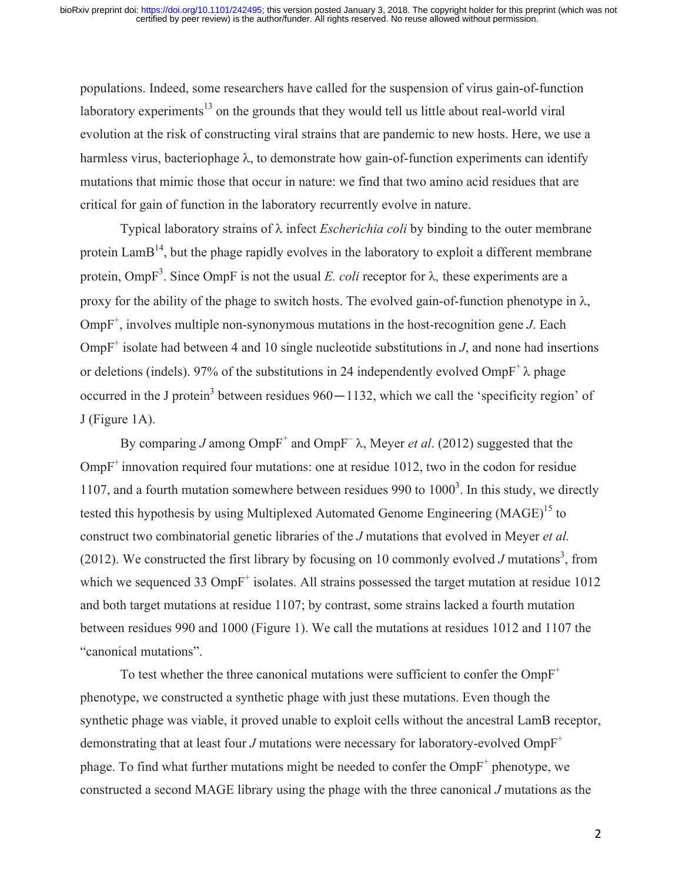populations. Indeed, some researchers have called for the suspension of virus gain-of-function laboratory experiments<sup>13</sup> on the grounds that they would tell us little about real-world viral evolution at the risk of constructing viral strains that are pandemic to new hosts. Here, we use a harmless virus, bacteriophage  $\lambda$ , to demonstrate how gain-of-function experiments can identify mutations that mimic those that occur in nature: we find that two amino acid residues that are critical for gain of function in the laboratory recurrently evolve in nature.

Typical laboratory strains of  $\lambda$  infect *Escherichia coli* by binding to the outer membrane protein  $\text{LamB}^{14}$ , but the phage rapidly evolves in the laboratory to exploit a different membrane protein, OmpF<sup>3</sup>. Since OmpF is not the usual *E. coli* receptor for  $\lambda$ , these experiments are a proxy for the ability of the phage to switch hosts. The evolved gain-of-function phenotype in  $\lambda$ ,  $OmpF^+$ , involves multiple non-synonymous mutations in the host-recognition gene  $J$ . Each OmpF<sup>+</sup> isolate had between 4 and 10 single nucleotide substitutions in  $J$ , and none had insertions or deletions (indels). 97% of the substitutions in 24 independently evolved  $OmpF^{\dagger} \lambda$  phage occurred in the J protein<sup>3</sup> between residues  $960 - 1132$ , which we call the 'specificity region' of J (Figure 1A).

By comparing *J* among  $OmpF^+$  and  $OmpF^ \lambda$ , Meyer *et al.* (2012) suggested that the  $OmpF^+$  innovation required four mutations: one at residue 1012, two in the codon for residue 1107, and a fourth mutation somewhere between residues 990 to  $1000<sup>3</sup>$ . In this study, we directly tested this hypothesis by using Multiplexed Automated Genome Engineering  $(MAGE)^{15}$  to construct two combinatorial genetic libraries of the *J* mutations that evolved in Meyer *et al.* (2012). We constructed the first library by focusing on 10 commonly evolved  $J$  mutations<sup>3</sup>, from which we sequenced 33  $OmpF^+$  isolates. All strains possessed the target mutation at residue 1012 and both target mutations at residue 1107; by contrast, some strains lacked a fourth mutation between residues 990 and 1000 (Figure 1). We call the mutations at residues 1012 and 1107 the "canonical mutations".

To test whether the three canonical mutations were sufficient to confer the  $OmpF^+$ phenotype, we constructed a synthetic phage with just these mutations. Even though the synthetic phage was viable, it proved unable to exploit cells without the ancestral LamB receptor, demonstrating that at least four *J* mutations were necessary for laboratory-evolved  $OmpF^+$ phage. To find what further mutations might be needed to confer the  $OmpF^+$  phenotype, we constructed a second MAGE library using the phage with the three canonical *J* mutations as the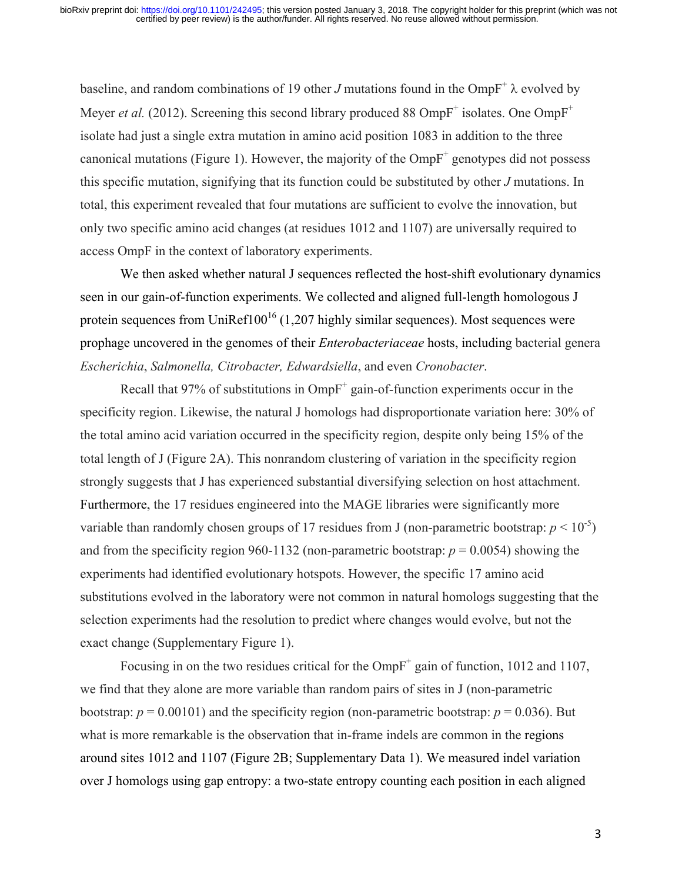baseline, and random combinations of 19 other *J* mutations found in the OmpF<sup>+</sup>  $\lambda$  evolved by Meyer *et al.* (2012). Screening this second library produced 88  $OmpF^+$  isolates. One  $OmpF^+$ isolate had just a single extra mutation in amino acid position 1083 in addition to the three canonical mutations (Figure 1). However, the majority of the  $OmpF^+$  genotypes did not possess this specific mutation, signifying that its function could be substituted by other *J* mutations. In total, this experiment revealed that four mutations are sufficient to evolve the innovation, but only two specific amino acid changes (at residues 1012 and 1107) are universally required to access OmpF in the context of laboratory experiments.

We then asked whether natural J sequences reflected the host-shift evolutionary dynamics seen in our gain-of-function experiments. We collected and aligned full-length homologous J protein sequences from UniRef $100^{16}$  (1,207 highly similar sequences). Most sequences were prophage uncovered in the genomes of their *Enterobacteriaceae* hosts, including bacterial genera *Escherichia*, *Salmonella, Citrobacter, Edwardsiella*, and even *Cronobacter*.

Recall that  $97\%$  of substitutions in Omp $F^+$  gain-of-function experiments occur in the specificity region. Likewise, the natural J homologs had disproportionate variation here: 30% of the total amino acid variation occurred in the specificity region, despite only being 15% of the total length of J (Figure 2A). This nonrandom clustering of variation in the specificity region strongly suggests that J has experienced substantial diversifying selection on host attachment. Furthermore, the 17 residues engineered into the MAGE libraries were significantly more variable than randomly chosen groups of 17 residues from J (non-parametric bootstrap:  $p < 10^{-5}$ ) and from the specificity region 960-1132 (non-parametric bootstrap:  $p = 0.0054$ ) showing the experiments had identified evolutionary hotspots. However, the specific 17 amino acid substitutions evolved in the laboratory were not common in natural homologs suggesting that the selection experiments had the resolution to predict where changes would evolve, but not the exact change (Supplementary Figure 1).

Focusing in on the two residues critical for the  $OmpF^+$  gain of function, 1012 and 1107, we find that they alone are more variable than random pairs of sites in J (non-parametric bootstrap:  $p = 0.00101$ ) and the specificity region (non-parametric bootstrap:  $p = 0.036$ ). But what is more remarkable is the observation that in-frame indels are common in the regions around sites 1012 and 1107 (Figure 2B; Supplementary Data 1). We measured indel variation over J homologs using gap entropy: a two-state entropy counting each position in each aligned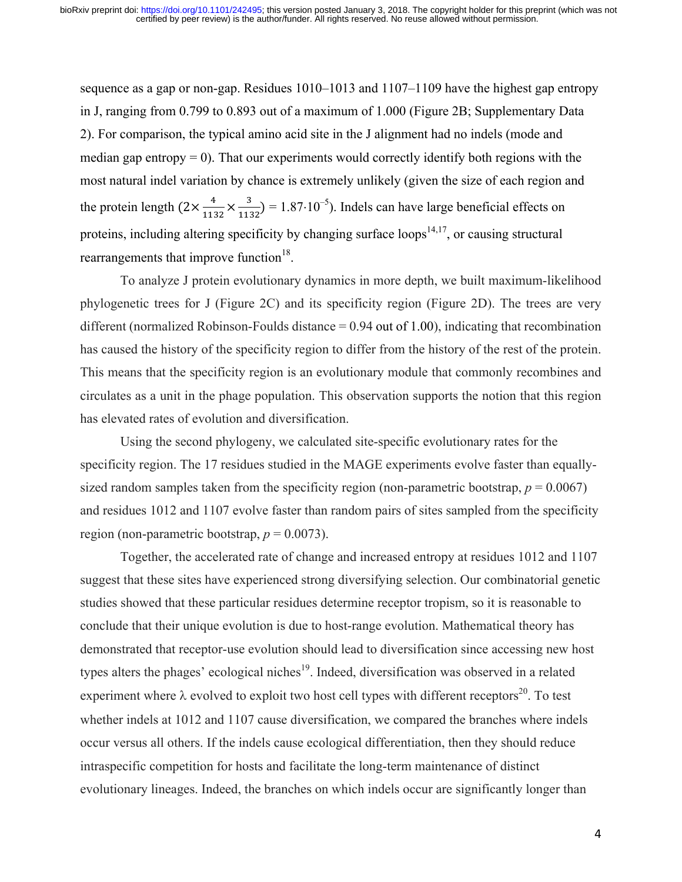sequence as a gap or non-gap. Residues 1010–1013 and 1107–1109 have the highest gap entropy in J, ranging from 0.799 to 0.893 out of a maximum of 1.000 (Figure 2B; Supplementary Data 2). For comparison, the typical amino acid site in the J alignment had no indels (mode and median gap entropy  $= 0$ ). That our experiments would correctly identify both regions with the most natural indel variation by chance is extremely unlikely (given the size of each region and the protein length  $(2 \times \frac{4}{\sqrt{11}})$  $\frac{4}{1132} \times \frac{3}{1132}$  = 1.87·10<sup>-5</sup>). Indels can have large beneficial effects on proteins, including altering specificity by changing surface loops<sup>14,17</sup>, or causing structural rearrangements that improve function $18$ .

To analyze J protein evolutionary dynamics in more depth, we built maximum-likelihood phylogenetic trees for J (Figure 2C) and its specificity region (Figure 2D). The trees are very different (normalized Robinson-Foulds distance = 0.94 out of 1.00), indicating that recombination has caused the history of the specificity region to differ from the history of the rest of the protein. This means that the specificity region is an evolutionary module that commonly recombines and circulates as a unit in the phage population. This observation supports the notion that this region has elevated rates of evolution and diversification.

Using the second phylogeny, we calculated site-specific evolutionary rates for the specificity region. The 17 residues studied in the MAGE experiments evolve faster than equallysized random samples taken from the specificity region (non-parametric bootstrap,  $p = 0.0067$ ) and residues 1012 and 1107 evolve faster than random pairs of sites sampled from the specificity region (non-parametric bootstrap,  $p = 0.0073$ ).

Together, the accelerated rate of change and increased entropy at residues 1012 and 1107 suggest that these sites have experienced strong diversifying selection. Our combinatorial genetic studies showed that these particular residues determine receptor tropism, so it is reasonable to conclude that their unique evolution is due to host-range evolution. Mathematical theory has demonstrated that receptor-use evolution should lead to diversification since accessing new host types alters the phages' ecological niches<sup>19</sup>. Indeed, diversification was observed in a related experiment where  $\lambda$  evolved to exploit two host cell types with different receptors<sup>20</sup>. To test whether indels at 1012 and 1107 cause diversification, we compared the branches where indels occur versus all others. If the indels cause ecological differentiation, then they should reduce intraspecific competition for hosts and facilitate the long-term maintenance of distinct evolutionary lineages. Indeed, the branches on which indels occur are significantly longer than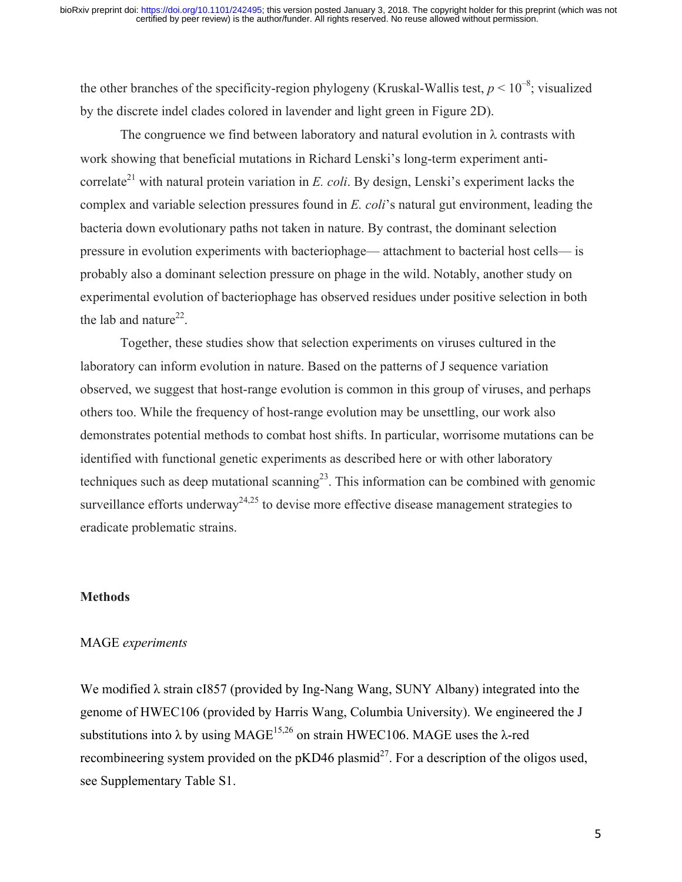the other branches of the specificity-region phylogeny (Kruskal-Wallis test,  $p < 10^{-8}$ ; visualized by the discrete indel clades colored in lavender and light green in Figure 2D).

The congruence we find between laboratory and natural evolution in  $\lambda$  contrasts with work showing that beneficial mutations in Richard Lenski's long-term experiment anticorrelate<sup>21</sup> with natural protein variation in *E. coli.* By design, Lenski's experiment lacks the complex and variable selection pressures found in *E. coli*'s natural gut environment, leading the bacteria down evolutionary paths not taken in nature. By contrast, the dominant selection pressure in evolution experiments with bacteriophage— attachment to bacterial host cells— is probably also a dominant selection pressure on phage in the wild. Notably, another study on experimental evolution of bacteriophage has observed residues under positive selection in both the lab and nature<sup>22</sup>.

Together, these studies show that selection experiments on viruses cultured in the laboratory can inform evolution in nature. Based on the patterns of J sequence variation observed, we suggest that host-range evolution is common in this group of viruses, and perhaps others too. While the frequency of host-range evolution may be unsettling, our work also demonstrates potential methods to combat host shifts. In particular, worrisome mutations can be identified with functional genetic experiments as described here or with other laboratory techniques such as deep mutational scanning<sup>23</sup>. This information can be combined with genomic surveillance efforts underway<sup>24,25</sup> to devise more effective disease management strategies to eradicate problematic strains.

#### **Methods**

### MAGE *experiments*

We modified  $\lambda$  strain cI857 (provided by Ing-Nang Wang, SUNY Albany) integrated into the genome of HWEC106 (provided by Harris Wang, Columbia University). We engineered the J substitutions into  $\lambda$  by using MAGE<sup>15,26</sup> on strain HWEC106. MAGE uses the  $\lambda$ -red recombineering system provided on the  $pKD46$  plasmid<sup>27</sup>. For a description of the oligos used, see Supplementary Table S1.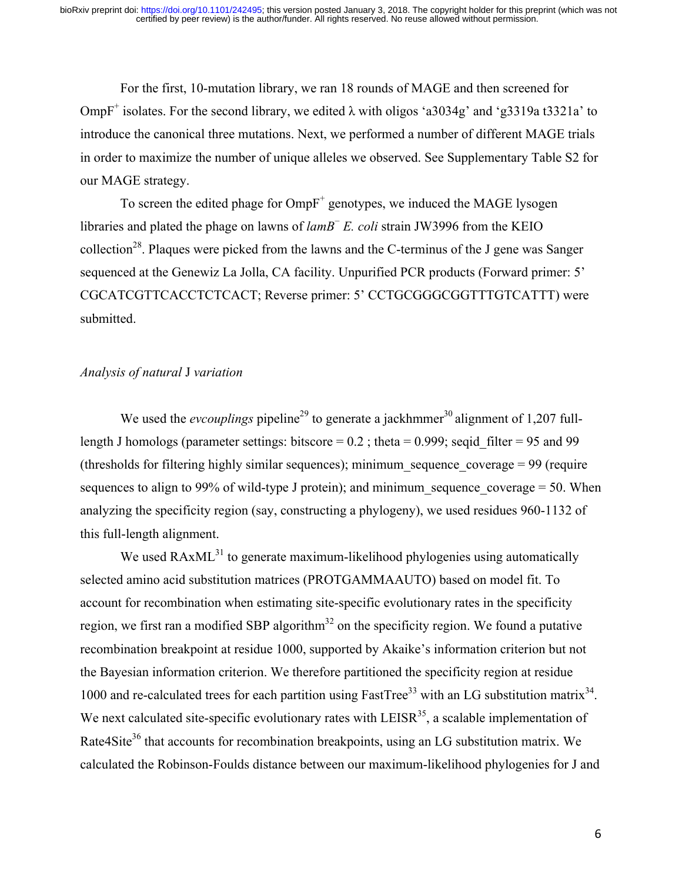For the first, 10-mutation library, we ran 18 rounds of MAGE and then screened for OmpF<sup>+</sup> isolates. For the second library, we edited  $\lambda$  with oligos 'a3034g' and 'g3319a t3321a' to introduce the canonical three mutations. Next, we performed a number of different MAGE trials in order to maximize the number of unique alleles we observed. See Supplementary Table S2 for our MAGE strategy.

To screen the edited phage for  $OmpF^+$  genotypes, we induced the MAGE lysogen libraries and plated the phage on lawns of *lamB*<sup>−</sup> *E. coli* strain JW3996 from the KEIO collection<sup>28</sup>. Plaques were picked from the lawns and the C-terminus of the J gene was Sanger sequenced at the Genewiz La Jolla, CA facility. Unpurified PCR products (Forward primer: 5' CGCATCGTTCACCTCTCACT; Reverse primer: 5' CCTGCGGGCGGTTTGTCATTT) were submitted.

#### *Analysis of natural* J *variation*

We used the *evcouplings* pipeline<sup>29</sup> to generate a jackhmmer<sup>30</sup> alignment of 1,207 fulllength J homologs (parameter settings: bitscore  $= 0.2$ ; theta  $= 0.999$ ; seqid filter  $= 95$  and 99 (thresholds for filtering highly similar sequences); minimum sequence coverage  $= 99$  (require sequences to align to 99% of wild-type J protein); and minimum sequence coverage  $= 50$ . When analyzing the specificity region (say, constructing a phylogeny), we used residues 960-1132 of this full-length alignment.

We used  $R AxML^{31}$  to generate maximum-likelihood phylogenies using automatically selected amino acid substitution matrices (PROTGAMMAAUTO) based on model fit. To account for recombination when estimating site-specific evolutionary rates in the specificity region, we first ran a modified SBP algorithm<sup>32</sup> on the specificity region. We found a putative recombination breakpoint at residue 1000, supported by Akaike's information criterion but not the Bayesian information criterion. We therefore partitioned the specificity region at residue 1000 and re-calculated trees for each partition using FastTree<sup>33</sup> with an LG substitution matrix<sup>34</sup>. We next calculated site-specific evolutionary rates with  $LEISR<sup>35</sup>$ , a scalable implementation of Rate4Site<sup>36</sup> that accounts for recombination breakpoints, using an LG substitution matrix. We calculated the Robinson-Foulds distance between our maximum-likelihood phylogenies for J and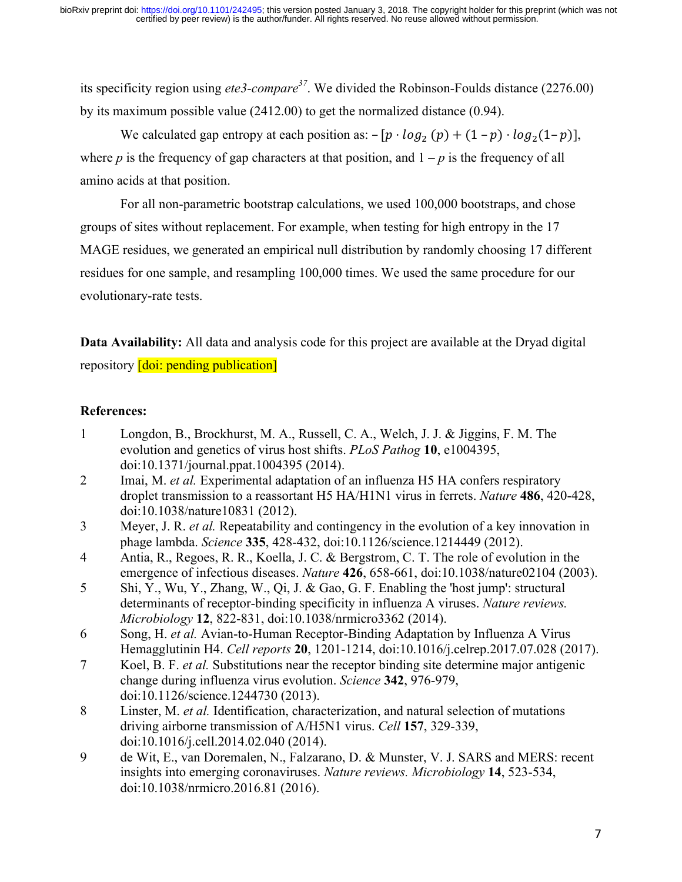its specificity region using *ete3-compare <sup>37</sup>*. We divided the Robinson-Foulds distance (2276.00) by its maximum possible value (2412.00) to get the normalized distance (0.94).

We calculated gap entropy at each position as:  $-[p \cdot log_2(p) + (1-p) \cdot log_2(1-p)],$ where *p* is the frequency of gap characters at that position, and  $1 - p$  is the frequency of all amino acids at that position.

For all non-parametric bootstrap calculations, we used 100,000 bootstraps, and chose groups of sites without replacement. For example, when testing for high entropy in the 17 MAGE residues, we generated an empirical null distribution by randomly choosing 17 different residues for one sample, and resampling 100,000 times. We used the same procedure for our evolutionary-rate tests.

**Data Availability:** All data and analysis code for this project are available at the Dryad digital repository **[doi: pending publication]** 

## **References:**

- 1 Longdon, B., Brockhurst, M. A., Russell, C. A., Welch, J. J. & Jiggins, F. M. The evolution and genetics of virus host shifts. *PLoS Pathog* **10**, e1004395, doi:10.1371/journal.ppat.1004395 (2014).
- 2 Imai, M. *et al.* Experimental adaptation of an influenza H5 HA confers respiratory droplet transmission to a reassortant H5 HA/H1N1 virus in ferrets. *Nature* **486**, 420-428, doi:10.1038/nature10831 (2012).
- 3 Meyer, J. R. *et al.* Repeatability and contingency in the evolution of a key innovation in phage lambda. *Science* **335**, 428-432, doi:10.1126/science.1214449 (2012).
- 4 Antia, R., Regoes, R. R., Koella, J. C. & Bergstrom, C. T. The role of evolution in the emergence of infectious diseases. *Nature* **426**, 658-661, doi:10.1038/nature02104 (2003).
- 5 Shi, Y., Wu, Y., Zhang, W., Qi, J. & Gao, G. F. Enabling the 'host jump': structural determinants of receptor-binding specificity in influenza A viruses. *Nature reviews. Microbiology* **12**, 822-831, doi:10.1038/nrmicro3362 (2014).
- 6 Song, H. *et al.* Avian-to-Human Receptor-Binding Adaptation by Influenza A Virus Hemagglutinin H4. *Cell reports* **20**, 1201-1214, doi:10.1016/j.celrep.2017.07.028 (2017).
- 7 Koel, B. F. *et al.* Substitutions near the receptor binding site determine major antigenic change during influenza virus evolution. *Science* **342**, 976-979, doi:10.1126/science.1244730 (2013).
- 8 Linster, M. *et al.* Identification, characterization, and natural selection of mutations driving airborne transmission of A/H5N1 virus. *Cell* **157**, 329-339, doi:10.1016/j.cell.2014.02.040 (2014).
- 9 de Wit, E., van Doremalen, N., Falzarano, D. & Munster, V. J. SARS and MERS: recent insights into emerging coronaviruses. *Nature reviews. Microbiology* **14**, 523-534, doi:10.1038/nrmicro.2016.81 (2016).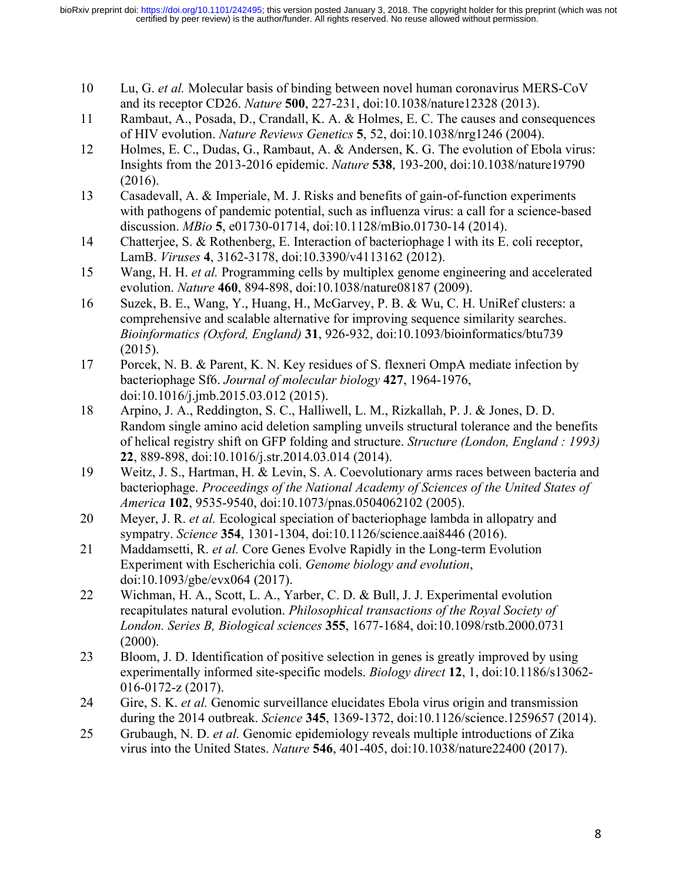- 10 Lu, G. *et al.* Molecular basis of binding between novel human coronavirus MERS-CoV and its receptor CD26. *Nature* **500**, 227-231, doi:10.1038/nature12328 (2013).
- 11 Rambaut, A., Posada, D., Crandall, K. A. & Holmes, E. C. The causes and consequences of HIV evolution. *Nature Reviews Genetics* **5**, 52, doi:10.1038/nrg1246 (2004).
- 12 Holmes, E. C., Dudas, G., Rambaut, A. & Andersen, K. G. The evolution of Ebola virus: Insights from the 2013-2016 epidemic. *Nature* **538**, 193-200, doi:10.1038/nature19790 (2016).
- 13 Casadevall, A. & Imperiale, M. J. Risks and benefits of gain-of-function experiments with pathogens of pandemic potential, such as influenza virus: a call for a science-based discussion. *MBio* **5**, e01730-01714, doi:10.1128/mBio.01730-14 (2014).
- 14 Chatterjee, S. & Rothenberg, E. Interaction of bacteriophage l with its E. coli receptor, LamB. *Viruses* **4**, 3162-3178, doi:10.3390/v4113162 (2012).
- 15 Wang, H. H. *et al.* Programming cells by multiplex genome engineering and accelerated evolution. *Nature* **460**, 894-898, doi:10.1038/nature08187 (2009).
- 16 Suzek, B. E., Wang, Y., Huang, H., McGarvey, P. B. & Wu, C. H. UniRef clusters: a comprehensive and scalable alternative for improving sequence similarity searches. *Bioinformatics (Oxford, England)* **31**, 926-932, doi:10.1093/bioinformatics/btu739 (2015).
- 17 Porcek, N. B. & Parent, K. N. Key residues of S. flexneri OmpA mediate infection by bacteriophage Sf6. *Journal of molecular biology* **427**, 1964-1976, doi:10.1016/j.jmb.2015.03.012 (2015).
- 18 Arpino, J. A., Reddington, S. C., Halliwell, L. M., Rizkallah, P. J. & Jones, D. D. Random single amino acid deletion sampling unveils structural tolerance and the benefits of helical registry shift on GFP folding and structure. *Structure (London, England : 1993)* **22**, 889-898, doi:10.1016/j.str.2014.03.014 (2014).
- 19 Weitz, J. S., Hartman, H. & Levin, S. A. Coevolutionary arms races between bacteria and bacteriophage. *Proceedings of the National Academy of Sciences of the United States of America* **102**, 9535-9540, doi:10.1073/pnas.0504062102 (2005).
- 20 Meyer, J. R. *et al.* Ecological speciation of bacteriophage lambda in allopatry and sympatry. *Science* **354**, 1301-1304, doi:10.1126/science.aai8446 (2016).
- 21 Maddamsetti, R. *et al.* Core Genes Evolve Rapidly in the Long-term Evolution Experiment with Escherichia coli. *Genome biology and evolution*, doi:10.1093/gbe/evx064 (2017).
- 22 Wichman, H. A., Scott, L. A., Yarber, C. D. & Bull, J. J. Experimental evolution recapitulates natural evolution. *Philosophical transactions of the Royal Society of London. Series B, Biological sciences* **355**, 1677-1684, doi:10.1098/rstb.2000.0731  $(2000).$
- 23 Bloom, J. D. Identification of positive selection in genes is greatly improved by using experimentally informed site-specific models. *Biology direct* **12**, 1, doi:10.1186/s13062- 016-0172-z (2017).
- 24 Gire, S. K. *et al.* Genomic surveillance elucidates Ebola virus origin and transmission during the 2014 outbreak. *Science* **345**, 1369-1372, doi:10.1126/science.1259657 (2014).
- 25 Grubaugh, N. D. *et al.* Genomic epidemiology reveals multiple introductions of Zika virus into the United States. *Nature* **546**, 401-405, doi:10.1038/nature22400 (2017).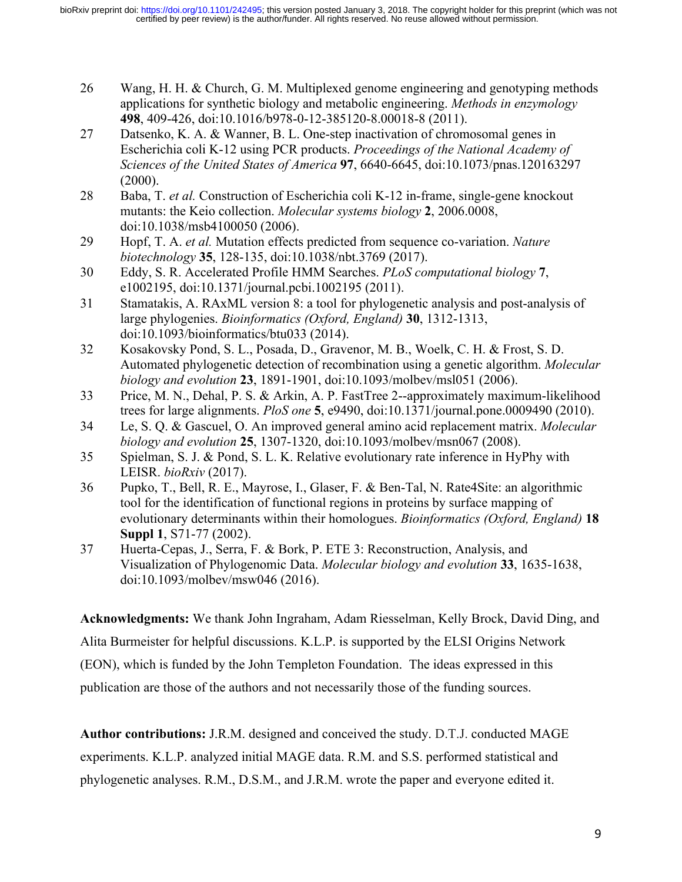- 26 Wang, H. H. & Church, G. M. Multiplexed genome engineering and genotyping methods applications for synthetic biology and metabolic engineering. *Methods in enzymology* **498**, 409-426, doi:10.1016/b978-0-12-385120-8.00018-8 (2011).
- 27 Datsenko, K. A. & Wanner, B. L. One-step inactivation of chromosomal genes in Escherichia coli K-12 using PCR products. *Proceedings of the National Academy of Sciences of the United States of America* **97**, 6640-6645, doi:10.1073/pnas.120163297  $(2000)$ .
- 28 Baba, T. *et al.* Construction of Escherichia coli K-12 in-frame, single-gene knockout mutants: the Keio collection. *Molecular systems biology* **2**, 2006.0008, doi:10.1038/msb4100050 (2006).
- 29 Hopf, T. A. *et al.* Mutation effects predicted from sequence co-variation. *Nature biotechnology* **35**, 128-135, doi:10.1038/nbt.3769 (2017).
- 30 Eddy, S. R. Accelerated Profile HMM Searches. *PLoS computational biology* **7**, e1002195, doi:10.1371/journal.pcbi.1002195 (2011).
- 31 Stamatakis, A. RAxML version 8: a tool for phylogenetic analysis and post-analysis of large phylogenies. *Bioinformatics (Oxford, England)* **30**, 1312-1313, doi:10.1093/bioinformatics/btu033 (2014).
- 32 Kosakovsky Pond, S. L., Posada, D., Gravenor, M. B., Woelk, C. H. & Frost, S. D. Automated phylogenetic detection of recombination using a genetic algorithm. *Molecular biology and evolution* **23**, 1891-1901, doi:10.1093/molbev/msl051 (2006).
- 33 Price, M. N., Dehal, P. S. & Arkin, A. P. FastTree 2--approximately maximum-likelihood trees for large alignments. *PloS one* **5**, e9490, doi:10.1371/journal.pone.0009490 (2010).
- 34 Le, S. Q. & Gascuel, O. An improved general amino acid replacement matrix. *Molecular biology and evolution* **25**, 1307-1320, doi:10.1093/molbev/msn067 (2008).
- 35 Spielman, S. J. & Pond, S. L. K. Relative evolutionary rate inference in HyPhy with LEISR. *bioRxiv* (2017).
- 36 Pupko, T., Bell, R. E., Mayrose, I., Glaser, F. & Ben-Tal, N. Rate4Site: an algorithmic tool for the identification of functional regions in proteins by surface mapping of evolutionary determinants within their homologues. *Bioinformatics (Oxford, England)* **18 Suppl 1**, S71-77 (2002).
- 37 Huerta-Cepas, J., Serra, F. & Bork, P. ETE 3: Reconstruction, Analysis, and Visualization of Phylogenomic Data. *Molecular biology and evolution* **33**, 1635-1638, doi:10.1093/molbev/msw046 (2016).

**Acknowledgments:** We thank John Ingraham, Adam Riesselman, Kelly Brock, David Ding, and Alita Burmeister for helpful discussions. K.L.P. is supported by the ELSI Origins Network (EON), which is funded by the John Templeton Foundation. The ideas expressed in this publication are those of the authors and not necessarily those of the funding sources.

**Author contributions:** J.R.M. designed and conceived the study. D.T.J. conducted MAGE experiments. K.L.P. analyzed initial MAGE data. R.M. and S.S. performed statistical and phylogenetic analyses. R.M., D.S.M., and J.R.M. wrote the paper and everyone edited it.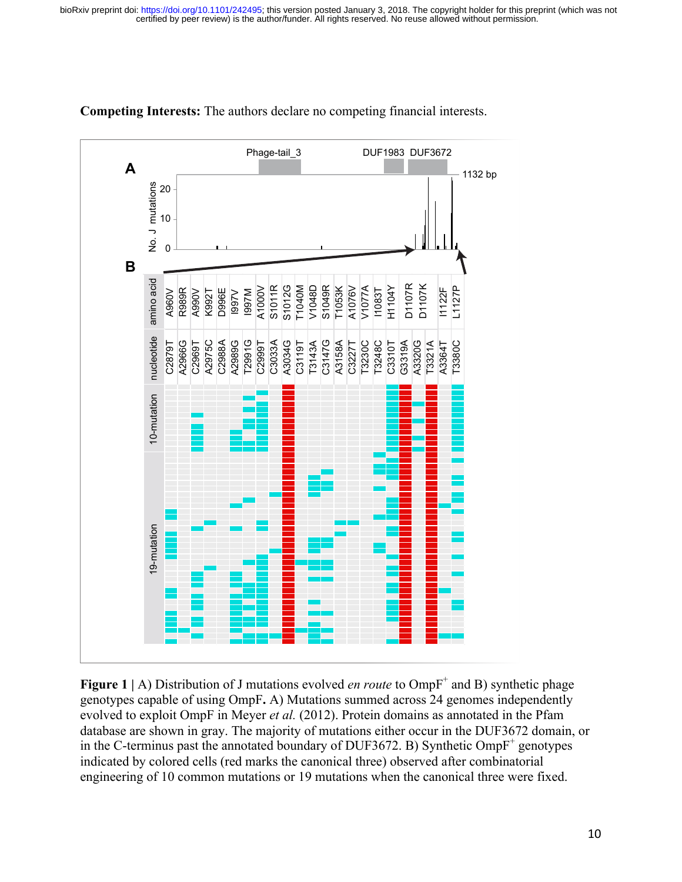

**Competing Interests:** The authors declare no competing financial interests.

**Figure 1** | A) Distribution of J mutations evolved *en route* to OmpF<sup>+</sup> and B) synthetic phage genotypes capable of using OmpF**.** A) Mutations summed across 24 genomes independently evolved to exploit OmpF in Meyer *et al.* (2012). Protein domains as annotated in the Pfam database are shown in gray. The majority of mutations either occur in the DUF3672 domain, or in the C-terminus past the annotated boundary of DUF3672. B) Synthetic  $OmpF^+$  genotypes indicated by colored cells (red marks the canonical three) observed after combinatorial engineering of 10 common mutations or 19 mutations when the canonical three were fixed.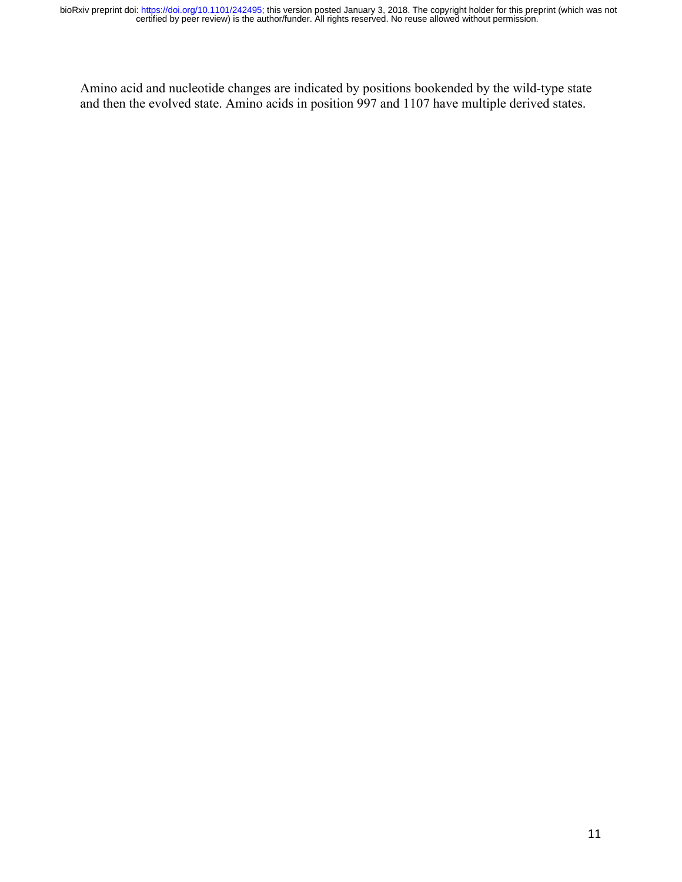Amino acid and nucleotide changes are indicated by positions bookended by the wild-type state and then the evolved state. Amino acids in position 997 and 1107 have multiple derived states.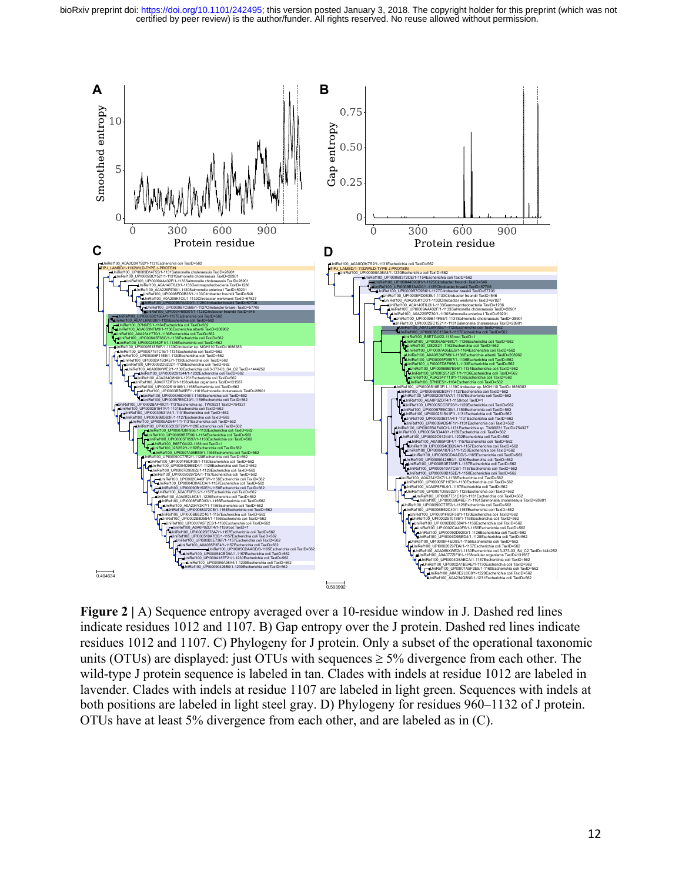

Figure 2 | A) Sequence entropy averaged over a 10-residue window in J. Dashed red lines indicate residues 1012 and 1107. B) Gap entropy over the J protein. Dashed red lines indicate residues 1012 and 1107. C) Phylogeny for J protein. Only a subset of the operational taxonomic units (OTUs) are displayed: just OTUs with sequences  $\geq$  5% divergence from each other. The wild-type J protein sequence is labeled in tan. Clades with indels at residue 1012 are labeled in lavender. Clades with indels at residue 1107 are labeled in light green. Sequences with indels at both positions are labeled in light steel gray. D) Phylogeny for residues 960–1132 of J protein. OTUs have at least 5% divergence from each other, and are labeled as in (C).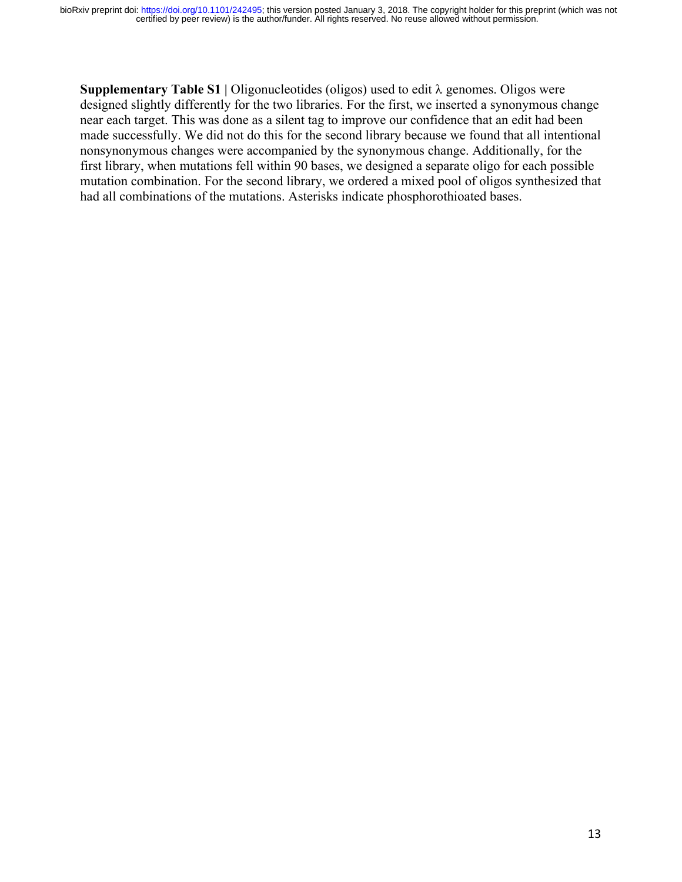**Supplementary Table S1 | Oligonucleotides (oligos) used to edit**  $\lambda$  **genomes. Oligos were** designed slightly differently for the two libraries. For the first, we inserted a synonymous change near each target. This was done as a silent tag to improve our confidence that an edit had been made successfully. We did not do this for the second library because we found that all intentional nonsynonymous changes were accompanied by the synonymous change. Additionally, for the first library, when mutations fell within 90 bases, we designed a separate oligo for each possible mutation combination. For the second library, we ordered a mixed pool of oligos synthesized that had all combinations of the mutations. Asterisks indicate phosphorothioated bases.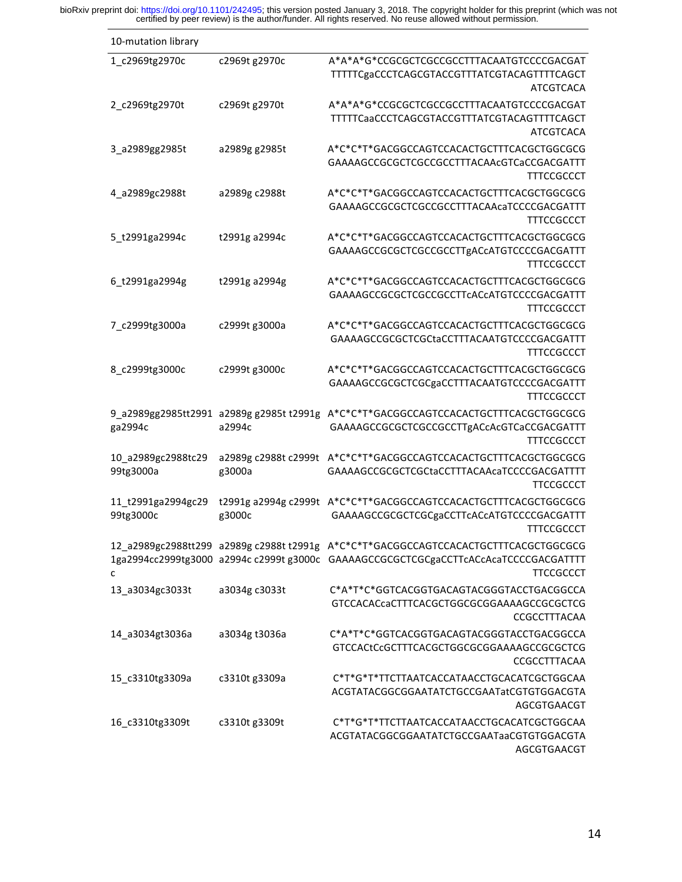bioRxiv preprint doi: https://doi.org/10.1101/242495; this version posted January 3, 2018. The copyright holder for this preprint (which was not certified by peer review) is the author/funder. All rights reserved. No reuse

| 10-mutation library |                                          |                                                                                           |
|---------------------|------------------------------------------|-------------------------------------------------------------------------------------------|
| 1_c2969tg2970c      | c2969t g2970c                            | A*A*A*G*CCGCGCTCGCCGCCTTTACAATGTCCCCGACGAT                                                |
|                     |                                          | TTTTTCgaCCCTCAGCGTACCGTTTATCGTACAGTTTTCAGCT                                               |
|                     |                                          | <b>ATCGTCACA</b>                                                                          |
| 2_c2969tg2970t      | c2969t g2970t                            | A*A*A*G*CCGCGCTCGCCGCCTTTACAATGTCCCCGACGAT<br>TTTTTCaaCCCTCAGCGTACCGTTTATCGTACAGTTTTCAGCT |
|                     |                                          | ATCGTCACA                                                                                 |
| 3_a2989gg2985t      | a2989g g2985t                            | A*C*C*T*GACGGCCAGTCCACACTGCTTTCACGCTGGCGCG                                                |
|                     |                                          | GAAAAGCCGCGCTCGCCGCCTTTACAAcGTCaCCGACGATTT                                                |
|                     |                                          | <b>TTTCCGCCCT</b>                                                                         |
| 4 a2989gc2988t      | a2989g c2988t                            | A*C*C*T*GACGGCCAGTCCACACTGCTTTCACGCTGGCGCG                                                |
|                     |                                          | GAAAAGCCGCGCTCGCCGCCTTTACAAcaTCCCCGACGATTT<br><b>TTTCCGCCCT</b>                           |
| 5_t2991ga2994c      | t2991g a2994c                            | A*C*C*T*GACGGCCAGTCCACACTGCTTTCACGCTGGCGCG                                                |
|                     |                                          | GAAAAGCCGCGCTCGCCGCCTTgACcATGTCCCCGACGATTT                                                |
|                     |                                          | <b>TTTCCGCCCT</b>                                                                         |
| 6_t2991ga2994g      | t2991g a2994g                            | A*C*C*T*GACGGCCAGTCCACACTGCTTTCACGCTGGCGCG                                                |
|                     |                                          | GAAAAGCCGCGCTCGCCGCCTTcACcATGTCCCCGACGATTT                                                |
|                     |                                          | <b>TTTCCGCCCT</b>                                                                         |
| 7_c2999tg3000a      | c2999t g3000a                            | A*C*C*T*GACGGCCAGTCCACACTGCTTTCACGCTGGCGCG<br>GAAAAGCCGCGCTCGCtaCCTTTACAATGTCCCCGACGATTT  |
|                     |                                          | TTTCCGCCCT                                                                                |
| 8_c2999tg3000c      | c2999t g3000c                            | A*C*C*T*GACGGCCAGTCCACACTGCTTTCACGCTGGCGCG                                                |
|                     |                                          | GAAAAGCCGCGCTCGCgaCCTTTACAATGTCCCCGACGATTT                                                |
|                     |                                          | <b>TTTCCGCCCT</b>                                                                         |
|                     | 9_a2989gg2985tt2991 a2989g g2985t t2991g | A*C*C*T*GACGGCCAGTCCACACTGCTTTCACGCTGGCGCG                                                |
| ga2994c             | a2994c                                   | GAAAAGCCGCGCTCGCCGCCTTgACcAcGTCaCCGACGATTT<br><b>TTTCCGCCCT</b>                           |
| 10_a2989gc2988tc29  | a2989g c2988t c2999t                     | A*C*C*T*GACGGCCAGTCCACACTGCTTTCACGCTGGCGCG                                                |
| 99tg3000a           | g3000a                                   | GAAAAGCCGCGCTCGCtaCCTTTACAAcaTCCCCGACGATTTT                                               |
|                     |                                          | TTCCGCCCT                                                                                 |
| 11 t2991ga2994gc29  | t2991g a2994g c2999t                     | A*C*C*T*GACGGCCAGTCCACACTGCTTTCACGCTGGCGCG                                                |
| 99tg3000c           | g3000c                                   | GAAAAGCCGCGCTCGCgaCCTTcACcATGTCCCCGACGATTT<br><b>TTTCCGCCCT</b>                           |
|                     |                                          | 12_a2989gc2988tt299_a2989gc2988tt2991g_A*C*C*T*GACGGCCAGTCCACACTGCTTTCACGCTGGCGCG         |
|                     |                                          | 1ga2994cc2999tg3000 a2994cc2999tg3000c GAAAAGCCGCGCTCGCgaCCTTcACcAcaTCCCCGACGATTTT        |
| C                   |                                          | <b>TTCCGCCCT</b>                                                                          |
| 13_a3034gc3033t     | a3034g c3033t                            | C*A*T*C*GGTCACGGTGACAGTACGGGTACCTGACGGCCA                                                 |
|                     |                                          | GTCCACACcaCTTTCACGCTGGCGCGGAAAAGCCGCGCTCG                                                 |
|                     |                                          | CCGCCTTTACAA                                                                              |
| 14_a3034gt3036a     | a3034g t3036a                            | C*A*T*C*GGTCACGGTGACAGTACGGGTACCTGACGGCCA<br>GTCCACtCcGCTTTCACGCTGGCGCGGAAAAGCCGCGCTCG    |
|                     |                                          | CCGCCTTTACAA                                                                              |
| 15_c3310tg3309a     | c3310t g3309a                            | C*T*G*T*TTCTTAATCACCATAACCTGCACATCGCTGGCAA                                                |
|                     |                                          | ACGTATACGGCGGAATATCTGCCGAATatCGTGTGGACGTA                                                 |
|                     |                                          | AGCGTGAACGT                                                                               |
| 16_c3310tg3309t     | c3310t g3309t                            | C*T*G*T*TTCTTAATCACCATAACCTGCACATCGCTGGCAA<br>ACGTATACGGCGGAATATCTGCCGAATaaCGTGTGGACGTA   |
|                     |                                          | AGCGTGAACGT                                                                               |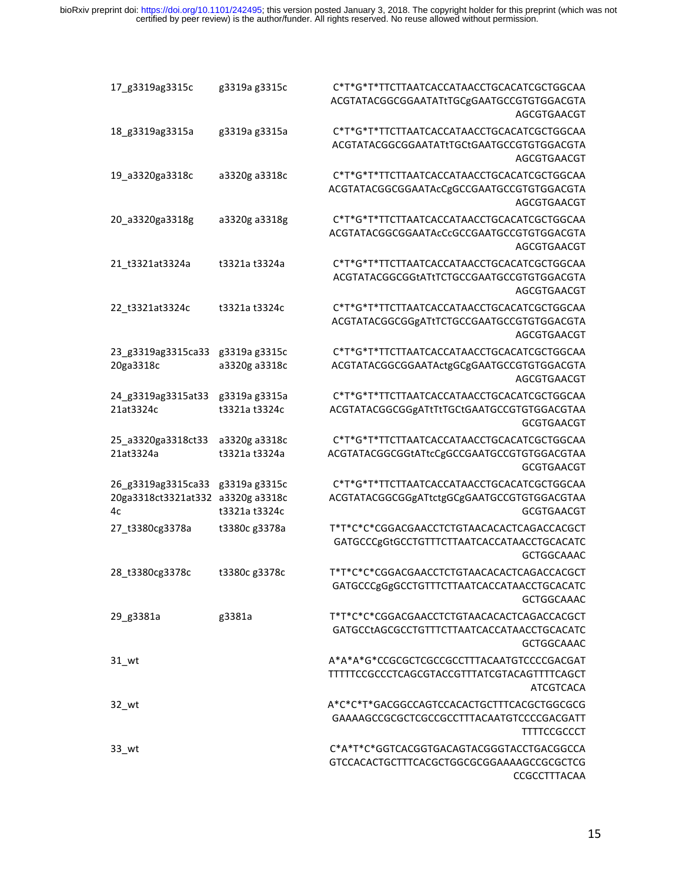| 17_g3319ag3315c                                 | g3319a g3315c                                   | C*T*G*T*TTCTTAATCACCATAACCTGCACATCGCTGGCAA<br>ACGTATACGGCGGAATATtTGCgGAATGCCGTGTGGACGTA<br>AGCGTGAACGT        |
|-------------------------------------------------|-------------------------------------------------|---------------------------------------------------------------------------------------------------------------|
| 18_g3319ag3315a                                 | g3319a g3315a                                   | C*T*G*T*TTCTTAATCACCATAACCTGCACATCGCTGGCAA<br>ACGTATACGGCGGAATATtTGCtGAATGCCGTGTGGACGTA<br>AGCGTGAACGT        |
| 19_a3320ga3318c                                 | a3320g a3318c                                   | C*T*G*T*TTCTTAATCACCATAACCTGCACATCGCTGGCAA<br>ACGTATACGGCGGAATAcCgGCCGAATGCCGTGTGGACGTA<br>AGCGTGAACGT        |
| 20 a3320ga3318g                                 | a3320g a3318g                                   | C*T*G*T*TTCTTAATCACCATAACCTGCACATCGCTGGCAA<br>ACGTATACGGCGGAATAcCcGCCGAATGCCGTGTGGACGTA<br>AGCGTGAACGT        |
| 21_t3321at3324a                                 | t3321a t3324a                                   | C*T*G*T*TTCTTAATCACCATAACCTGCACATCGCTGGCAA<br>ACGTATACGGCGGtATtTCTGCCGAATGCCGTGTGGACGTA<br>AGCGTGAACGT        |
| 22 t3321at3324c                                 | t3321a t3324c                                   | C*T*G*T*TTCTTAATCACCATAACCTGCACATCGCTGGCAA<br>ACGTATACGGCGGgATtTCTGCCGAATGCCGTGTGGACGTA<br>AGCGTGAACGT        |
| 23_g3319ag3315ca33<br>20ga3318c                 | g3319a g3315c<br>a3320g a3318c                  | C*T*G*T*TTCTTAATCACCATAACCTGCACATCGCTGGCAA<br>ACGTATACGGCGGAATActgGCgGAATGCCGTGTGGACGTA<br>AGCGTGAACGT        |
| 24_g3319ag3315at33<br>21at3324c                 | g3319a g3315a<br>t3321a t3324c                  | C*T*G*T*TTCTTAATCACCATAACCTGCACATCGCTGGCAA<br>ACGTATACGGCGGgATtTtTGCtGAATGCCGTGTGGACGTAA<br>GCGTGAACGT        |
| 25_a3320ga3318ct33<br>21at3324a                 | a3320g a3318c<br>t3321a t3324a                  | C*T*G*T*TTCTTAATCACCATAACCTGCACATCGCTGGCAA<br>ACGTATACGGCGGtATtcCgGCCGAATGCCGTGTGGACGTAA<br><b>GCGTGAACGT</b> |
| 26_g3319ag3315ca33<br>20ga3318ct3321at332<br>4c | g3319a g3315c<br>a3320g a3318c<br>t3321a t3324c | C*T*G*T*TTCTTAATCACCATAACCTGCACATCGCTGGCAA<br>ACGTATACGGCGGgATtctgGCgGAATGCCGTGTGGACGTAA<br><b>GCGTGAACGT</b> |
| 27 t3380cg3378a                                 | t3380c g3378a                                   | T*T*C*C*CGGACGAACCTCTGTAACACACTCAGACCACGCT<br>GATGCCCgGtGCCTGTTTCTTAATCACCATAACCTGCACATC<br><b>GCTGGCAAAC</b> |
| 28_t3380cg3378c                                 | t3380c g3378c                                   | T*T*C*C*CGGACGAACCTCTGTAACACACTCAGACCACGCT<br>GATGCCCgGgGCCTGTTTCTTAATCACCATAACCTGCACATC<br><b>GCTGGCAAAC</b> |
| 29 g3381a                                       | g3381a                                          | T*T*C*C*CGGACGAACCTCTGTAACACACTCAGACCACGCT<br>GATGCCtAGCGCCTGTTTCTTAATCACCATAACCTGCACATC<br><b>GCTGGCAAAC</b> |
| $31$ wt                                         |                                                 | A*A*A*G*CCGCGCTCGCCGCCTTTACAATGTCCCCGACGAT<br>TTTTTCCGCCCTCAGCGTACCGTTTATCGTACAGTTTTCAGCT<br><b>ATCGTCACA</b> |
| $32\_wt$                                        |                                                 | A*C*C*T*GACGGCCAGTCCACACTGCTTTCACGCTGGCGCG<br>GAAAAGCCGCGCTCGCCGCCTTTACAATGTCCCCGACGATT<br><b>TTTTCCGCCCT</b> |
| $33$ _wt                                        |                                                 | C*A*T*C*GGTCACGGTGACAGTACGGGTACCTGACGGCCA<br>GTCCACACTGCTTTCACGCTGGCGCGGAAAAGCCGCGCTCG<br>CCGCCTTTACAA        |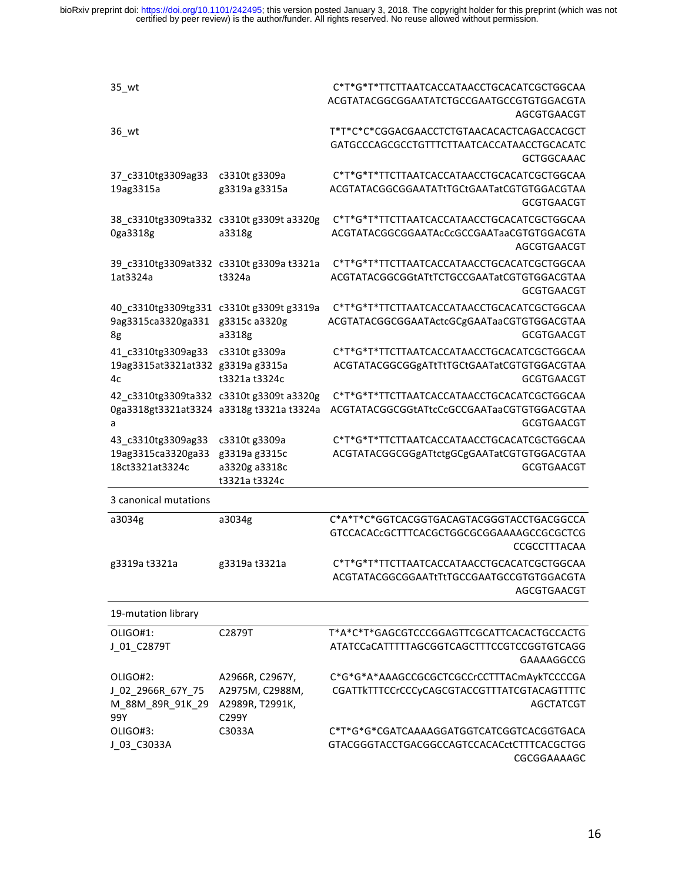bioRxiv preprint doi: https://doi.org/10.1101/242495; this version posted January 3, 2018. The copyright holder for this preprint (which was not certified by peer review) is the author/funder. All rights reserved. No reuse

| $35\_wt$                                                             |                                                                                      | C*T*G*T*TTCTTAATCACCATAACCTGCACATCGCTGGCAA<br>ACGTATACGGCGGAATATCTGCCGAATGCCGTGTGGACGTA<br>AGCGTGAACGT        |
|----------------------------------------------------------------------|--------------------------------------------------------------------------------------|---------------------------------------------------------------------------------------------------------------|
| 36_wt                                                                |                                                                                      | T*T*C*C*CGGACGAACCTCTGTAACACACTCAGACCACGCT<br>GATGCCCAGCGCCTGTTTCTTAATCACCATAACCTGCACATC<br><b>GCTGGCAAAC</b> |
| 37_c3310tg3309ag33<br>19ag3315a                                      | c3310t g3309a<br>g3319a g3315a                                                       | C*T*G*T*TTCTTAATCACCATAACCTGCACATCGCTGGCAA<br>ACGTATACGGCGGAATATtTGCtGAATatCGTGTGGACGTAA<br><b>GCGTGAACGT</b> |
| 0ga3318g                                                             | 38_c3310tg3309ta332 c3310t g3309t a3320g<br>a3318g                                   | C*T*G*T*TTCTTAATCACCATAACCTGCACATCGCTGGCAA<br>ACGTATACGGCGGAATAcCcGCCGAATaaCGTGTGGACGTA<br>AGCGTGAACGT        |
| 1at3324a                                                             | 39_c3310tg3309at332 c3310t g3309a t3321a<br>t3324a                                   | C*T*G*T*TTCTTAATCACCATAACCTGCACATCGCTGGCAA<br>ACGTATACGGCGGtATtTCTGCCGAATatCGTGTGGACGTAA<br><b>GCGTGAACGT</b> |
| 40 c3310tg3309tg331 c3310t g3309t g3319a<br>9ag3315ca3320ga331<br>8g | g3315c a3320g<br>a3318g                                                              | C*T*G*T*TTCTTAATCACCATAACCTGCACATCGCTGGCAA<br>ACGTATACGGCGGAATActcGCgGAATaaCGTGTGGACGTAA<br><b>GCGTGAACGT</b> |
| 41_c3310tg3309ag33<br>19ag3315at3321at332 g3319a g3315a<br>4c        | c3310t g3309a<br>t3321a t3324c                                                       | C*T*G*T*TTCTTAATCACCATAACCTGCACATCGCTGGCAA<br>ACGTATACGGCGGgATtTtTGCtGAATatCGTGTGGACGTAA<br>GCGTGAACGT        |
| a                                                                    | 42 c3310tg3309ta332 c3310t g3309t a3320g<br>0ga3318gt3321at3324 a3318g t3321a t3324a | C*T*G*T*TTCTTAATCACCATAACCTGCACATCGCTGGCAA<br>ACGTATACGGCGGtATtcCcGCCGAATaaCGTGTGGACGTAA<br><b>GCGTGAACGT</b> |
| 43_c3310tg3309ag33<br>19ag3315ca3320ga33<br>18ct3321at3324c          | c3310t g3309a<br>g3319a g3315c<br>a3320g a3318c<br>t3321a t3324c                     | C*T*G*T*TTCTTAATCACCATAACCTGCACATCGCTGGCAA<br>ACGTATACGGCGGgATtctgGCgGAATatCGTGTGGACGTAA<br><b>GCGTGAACGT</b> |
| 3 canonical mutations                                                |                                                                                      |                                                                                                               |
| a3034g                                                               | a3034g                                                                               | C*A*T*C*GGTCACGGTGACAGTACGGGTACCTGACGGCCA<br>GTCCACACcGCTTTCACGCTGGCGCGGAAAAGCCGCGCTCG<br>CCGCCTTTACAA        |
| g3319a t3321a                                                        | g3319a t3321a                                                                        | C*T*G*T*TTCTTAATCACCATAACCTGCACATCGCTGGCAA<br>ACGTATACGGCGGAATtTtTGCCGAATGCCGTGTGGACGTA<br>AGCGTGAACGT        |
| 19-mutation library                                                  |                                                                                      |                                                                                                               |
| OLIGO#1:<br>J_01_C2879T                                              | C2879T                                                                               | T*A*C*T*GAGCGTCCCGGAGTTCGCATTCACACTGCCACTG<br>ATATCCaCATTTTTAGCGGTCAGCTTTCCGTCCGGTGTCAGG<br>GAAAAGGCCG        |
| OLIGO#2:<br>J_02_2966R_67Y_75<br>M_88M_89R_91K_29<br>99Y             | A2966R, C2967Y,<br>A2975M, C2988M,<br>A2989R, T2991K,<br>C299Y                       | C*G*G*A*AAAGCCGCGCTCGCCrCCTTTACmAykTCCCCGA<br>CGATTkTTTCCrCCCyCAGCGTACCGTTTATCGTACAGTTTTC<br><b>AGCTATCGT</b> |
| OLIGO#3:<br>J_03_C3033A                                              | C3033A                                                                               | C*T*G*G*CGATCAAAAGGATGGTCATCGGTCACGGTGACA<br>GTACGGGTACCTGACGGCCAGTCCACACctCTTTCACGCTGG<br>CGCGGAAAAGC        |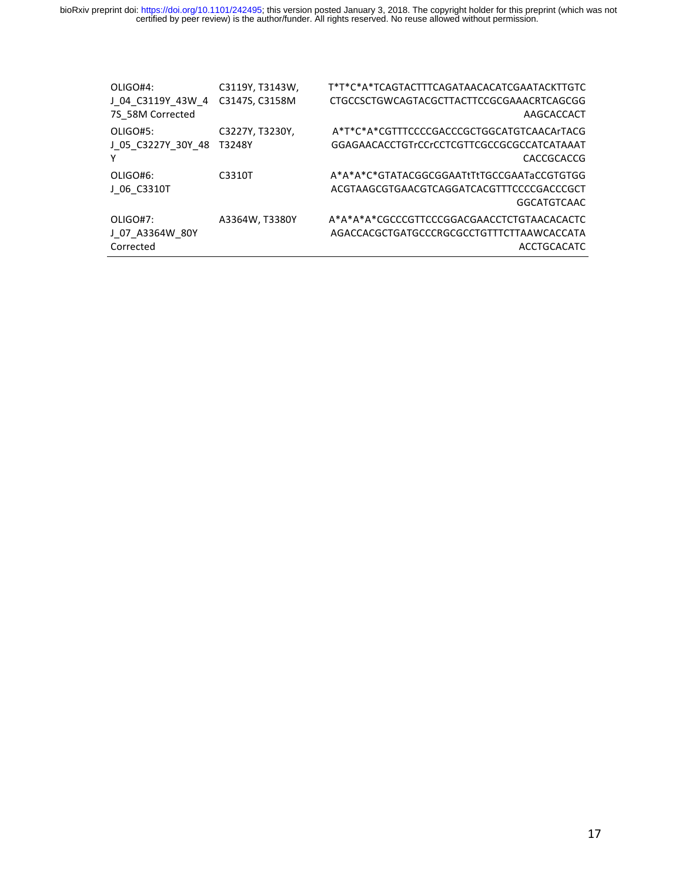| OLIGO#4:           | C3119Y, T3143W, | T*T*C*A*TCAGTACTTTCAGATAACACATCGAATACKTTGTC |
|--------------------|-----------------|---------------------------------------------|
| J 04 C3119Y 43W 4  | C3147S, C3158M  | CTGCCSCTGWCAGTACGCTTACTTCCGCGAAACRTCAGCGG   |
| 7S 58M Corrected   |                 | AAGCACCACT                                  |
| OLIGO#5:           | C3227Y, T3230Y, | A*T*C*A*CGTTTCCCCGACCCGCTGGCATGTCAACArTACG  |
| J 05 C3227Y 30Y 48 | T3248Y          | GGAGAACACCTGTrCCrCCTCGTTCGCCGCGCCATCATAAAT  |
|                    |                 | CACCGCACCG                                  |
| OLIGO#6:           | C3310T          | A*A*A*C*GTATACGGCGGAATtTtTGCCGAATaCCGTGTGG  |
| J 06 C3310T        |                 | ACGTAAGCGTGAACGTCAGGATCACGTTTCCCCGACCCGCT   |
|                    |                 | <b>GGCATGTCAAC</b>                          |
| OLIGO#7:           | A3364W, T3380Y  | A*A*A*A*CGCCCGTTCCCGGACGAACCTCTGTAACACACTC  |
| J 07 A3364W 80Y    |                 | AGACCACGCTGATGCCCRGCGCCTGTTTCTTAAWCACCATA   |
| Corrected          |                 | <b>ACCTGCACATC</b>                          |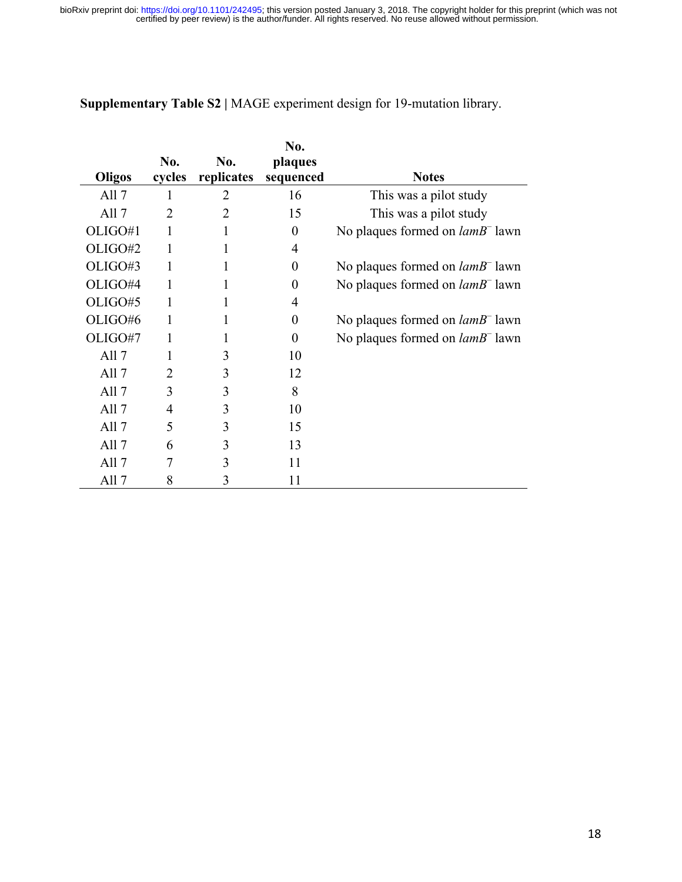|                  |                |            | No.            |                                    |
|------------------|----------------|------------|----------------|------------------------------------|
|                  | No.            | No.        | plaques        |                                    |
| Oligos           | cycles         | replicates | sequenced      | <b>Notes</b>                       |
| All $7$          | 1              | 2          | 16             | This was a pilot study             |
| All $7$          | $\mathfrak{D}$ | 2          | 15             | This was a pilot study             |
| OLIGO#1          |                |            | $\overline{0}$ | No plaques formed on $lamB^-$ lawn |
| OLIGO#2          |                |            | 4              |                                    |
| OLIGO#3          |                |            | 0              | No plaques formed on $lamB^-$ lawn |
| OLIGO#4          | 1              |            | $\theta$       | No plaques formed on $lamB^-$ lawn |
| OLIGO#5          |                |            | 4              |                                    |
| OLIGO#6          | 1              | 1          | $\theta$       | No plaques formed on $lamB^-$ lawn |
| OLIGO#7          |                |            | 0              | No plaques formed on $lamB^-$ lawn |
| All $7$          |                | 3          | 10             |                                    |
| All <sub>7</sub> | 2              | 3          | 12             |                                    |
| All <sub>7</sub> | 3              | 3          | 8              |                                    |
| All <sub>7</sub> | 4              | 3          | 10             |                                    |
| All <sub>7</sub> | 5              | 3          | 15             |                                    |
| All $7$          | 6              | 3          | 13             |                                    |
| All $7$          |                | 3          | 11             |                                    |
| All 7            | 8              | 3          | 11             |                                    |

**Supplementary Table S2 |** MAGE experiment design for 19-mutation library.